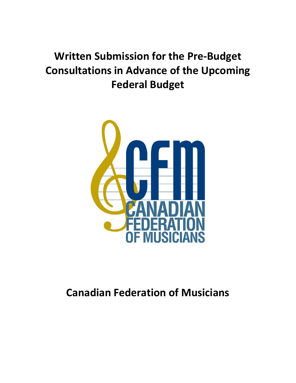# **Written Submission for the Pre-Budget Consultations in Advance of the Upcoming Federal Budget**



# **Canadian Federation of Musicians**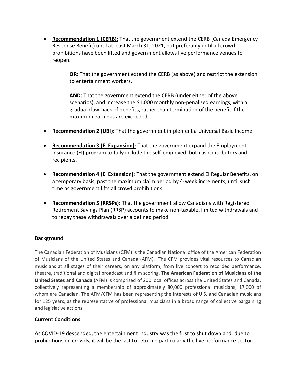• **Recommendation 1 (CERB):** That the government extend the CERB (Canada Emergency Response Benefit) until at least March 31, 2021, but preferably until all crowd prohibitions have been lifted and government allows live performance venues to reopen.

> **OR:** That the government extend the CERB (as above) and restrict the extension to entertainment workers.

**AND:** That the government extend the CERB (under either of the above scenarios), and increase the \$1,000 monthly non-penalized earnings, with a gradual claw-back of benefits, rather than termination of the benefit if the maximum earnings are exceeded.

- **Recommendation 2 (UBI):** That the government implement a Universal Basic Income.
- **Recommendation 3 (EI Expansion):** That the government expand the Employment Insurance (EI) program to fully include the self-employed, both as contributors and recipients.
- **Recommendation 4 (EI Extension):** That the government extend EI Regular Benefits, on a temporary basis, past the maximum claim period by 4-week increments, until such time as government lifts all crowd prohibitions.
- **Recommendation 5 (RRSPs):** That the government allow Canadians with Registered Retirement Savings Plan (RRSP) accounts to make non-taxable, limited withdrawals and to repay these withdrawals over a defined period.

# **Background**

The Canadian Federation of Musicians (CFM) is the Canadian National office of the American Federation of Musicians of the United States and Canada (AFM). The CFM provides vital resources to Canadian musicians at all stages of their careers, on any platform, from live concert to recorded performance, theatre, traditional and digital broadcast and film scoring. **The American Federation of Musicians of the United States and Canada** (AFM) is comprised of 200 local offices across the United States and Canada, collectively representing a membership of approximately 80,000 professional musicians, 17,000 of whom are Canadian. The AFM/CFM has been representing the interests of U.S. and Canadian musicians for 125 years, as the representative of professional musicians in a broad range of collective bargaining and legislative actions.

# **Current Conditions**

As COVID-19 descended, the entertainment industry was the first to shut down and, due to prohibitions on crowds, it will be the last to return – particularly the live performance sector.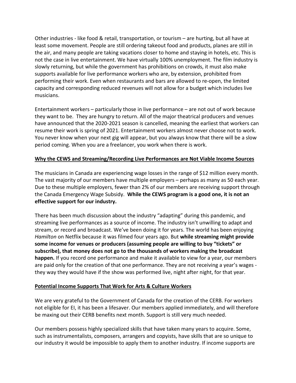Other industries - like food & retail, transportation, or tourism – are hurting, but all have at least some movement. People are still ordering takeout food and products, planes are still in the air, and many people are taking vacations closer to home and staying in hotels, etc. This is not the case in live entertainment. We have virtually 100% unemployment. The film industry is slowly returning, but while the government has prohibitions on crowds, it must also make supports available for live performance workers who are, by extension, prohibited from performing their work. Even when restaurants and bars are allowed to re-open, the limited capacity and corresponding reduced revenues will not allow for a budget which includes live musicians.

Entertainment workers – particularly those in live performance – are not out of work because they want to be. They are hungry to return. All of the major theatrical producers and venues have announced that the 2020-2021 season is cancelled, meaning the earliest that workers can resume their work is spring of 2021. Entertainment workers almost never choose not to work. You never know when your next gig will appear, but you always know that there will be a slow period coming. When you are a freelancer, you work when there is work.

#### **Why the CEWS and Streaming/Recording Live Performances are Not Viable Income Sources**

The musicians in Canada are experiencing wage losses in the range of \$12 million every month. The vast majority of our members have multiple employers – perhaps as many as 50 each year. Due to these multiple employers, fewer than 2% of our members are receiving support through the Canada Emergency Wage Subsidy. **While the CEWS program is a good one, it is not an effective support for our industry.**

There has been much discussion about the industry "adapting" during this pandemic, and streaming live performances as a source of income. The industry isn't unwilling to adapt and stream, or record and broadcast. We've been doing it for years. The world has been enjoying *Hamilton* on Netflix because it was filmed four years ago. But **while streaming might provide some income for venues or producers (assuming people are willing to buy "tickets" or subscribe), that money does not go to the thousands of workers making the broadcast happen.** If you record one performance and make it available to view for a year, our members are paid only for the creation of that one performance. They are not receiving a year's wages they way they would have if the show was performed live, night after night, for that year.

#### **Potential Income Supports That Work for Arts & Culture Workers**

We are very grateful to the Government of Canada for the creation of the CERB. For workers not eligible for EI, it has been a lifesaver. Our members applied immediately, and will therefore be maxing out their CERB benefits next month. Support is still very much needed.

Our members possess highly specialized skills that have taken many years to acquire. Some, such as instrumentalists, composers, arrangers and copyists, have skills that are so unique to our industry it would be impossible to apply them to another industry. If income supports are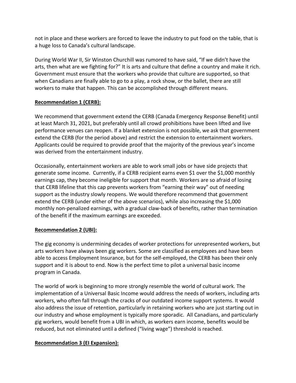not in place and these workers are forced to leave the industry to put food on the table, that is a huge loss to Canada's cultural landscape.

During World War II, Sir Winston Churchill was rumored to have said, "If we didn't have the arts, then what are we fighting for?" It is arts and culture that define a country and make it rich. Government must ensure that the workers who provide that culture are supported, so that when Canadians are finally able to go to a play, a rock show, or the ballet, there are still workers to make that happen. This can be accomplished through different means.

# **Recommendation 1 (CERB):**

We recommend that government extend the CERB (Canada Emergency Response Benefit) until at least March 31, 2021, but preferably until all crowd prohibitions have been lifted and live performance venues can reopen. If a blanket extension is not possible, we ask that government extend the CERB (for the period above) and restrict the extension to entertainment workers. Applicants could be required to provide proof that the majority of the previous year's income was derived from the entertainment industry.

Occasionally, entertainment workers are able to work small jobs or have side projects that generate some income. Currently, if a CERB recipient earns even \$1 over the \$1,000 monthly earnings cap, they become ineligible for support that month. Workers are so afraid of losing that CERB lifeline that this cap prevents workers from "earning their way" out of needing support as the industry slowly reopens. We would therefore recommend that government extend the CERB (under either of the above scenarios), while also increasing the \$1,000 monthly non-penalized earnings, with a gradual claw-back of benefits, rather than termination of the benefit if the maximum earnings are exceeded.

# **Recommendation 2 (UBI):**

The gig economy is undermining decades of worker protections for unrepresented workers, but arts workers have always been gig workers. Some are classified as employees and have been able to access Employment Insurance, but for the self-employed, the CERB has been their only support and it is about to end. Now is the perfect time to pilot a universal basic income program in Canada.

The world of work is beginning to more strongly resemble the world of cultural work. The implementation of a Universal Basic Income would address the needs of workers, including arts workers, who often fall through the cracks of our outdated income support systems. It would also address the issue of retention, particularly in retaining workers who are just starting out in our industry and whose employment is typically more sporadic. All Canadians, and particularly gig workers, would benefit from a UBI in which, as workers earn income, benefits would be reduced, but not eliminated until a defined ("living wage") threshold is reached.

# **Recommendation 3 (EI Expansion):**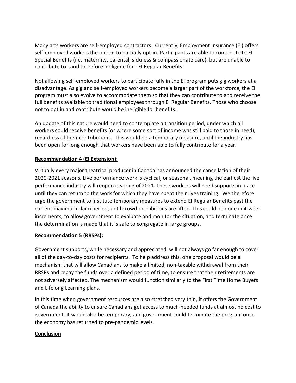Many arts workers are self-employed contractors. Currently, Employment Insurance (EI) offers self-employed workers the option to partially opt-in. Participants are able to contribute to EI Special Benefits (i.e. maternity, parental, sickness & compassionate care), but are unable to contribute to - and therefore ineligible for - EI Regular Benefits.

Not allowing self-employed workers to participate fully in the EI program puts gig workers at a disadvantage. As gig and self-employed workers become a larger part of the workforce, the EI program must also evolve to accommodate them so that they can contribute to and receive the full benefits available to traditional employees through EI Regular Benefits. Those who choose not to opt in and contribute would be ineligible for benefits.

An update of this nature would need to contemplate a transition period, under which all workers could receive benefits (or where some sort of income was still paid to those in need), regardless of their contributions. This would be a temporary measure, until the industry has been open for long enough that workers have been able to fully contribute for a year.

# **Recommendation 4 (EI Extension):**

Virtually every major theatrical producer in Canada has announced the cancellation of their 2020-2021 seasons. Live performance work is cyclical, or seasonal, meaning the earliest the live performance industry will reopen is spring of 2021. These workers will need supports in place until they can return to the work for which they have spent their lives training. We therefore urge the government to institute temporary measures to extend EI Regular Benefits past the current maximum claim period, until crowd prohibitions are lifted. This could be done in 4-week increments, to allow government to evaluate and monitor the situation, and terminate once the determination is made that it is safe to congregate in large groups.

# **Recommendation 5 (RRSPs):**

Government supports, while necessary and appreciated, will not always go far enough to cover all of the day-to-day costs for recipients. To help address this, one proposal would be a mechanism that will allow Canadians to make a limited, non-taxable withdrawal from their RRSPs and repay the funds over a defined period of time, to ensure that their retirements are not adversely affected. The mechanism would function similarly to the First Time Home Buyers and Lifelong Learning plans.

In this time when government resources are also stretched very thin, it offers the Government of Canada the ability to ensure Canadians get access to much-needed funds at almost no cost to government. It would also be temporary, and government could terminate the program once the economy has returned to pre-pandemic levels.

# **Conclusion**